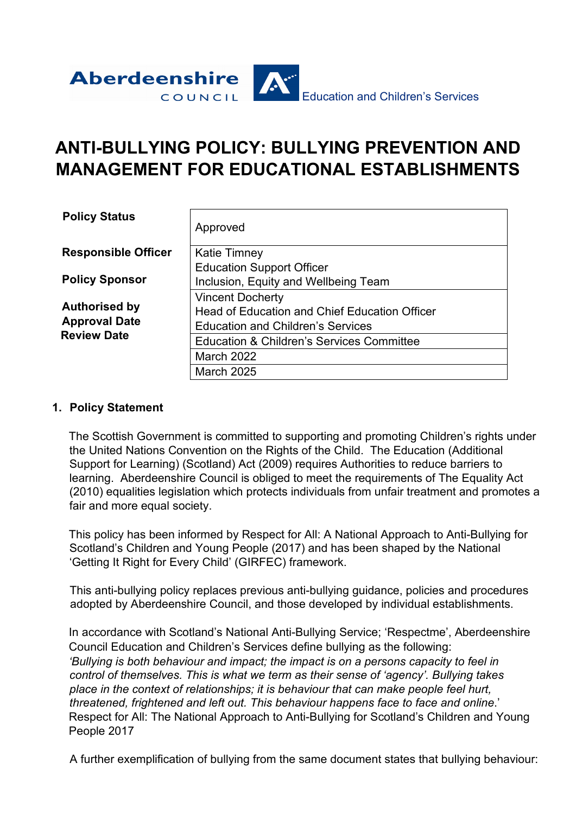

# **ANTI-BULLYING POLICY: BULLYING PREVENTION AND MANAGEMENT FOR EDUCATIONAL ESTABLISHMENTS**

| <b>Policy Status</b>       | Approved                                             |
|----------------------------|------------------------------------------------------|
| <b>Responsible Officer</b> | <b>Katie Timney</b>                                  |
|                            | <b>Education Support Officer</b>                     |
| <b>Policy Sponsor</b>      | Inclusion, Equity and Wellbeing Team                 |
|                            | <b>Vincent Docherty</b>                              |
| <b>Authorised by</b>       | Head of Education and Chief Education Officer        |
| <b>Approval Date</b>       | <b>Education and Children's Services</b>             |
| <b>Review Date</b>         | <b>Education &amp; Children's Services Committee</b> |
|                            | <b>March 2022</b>                                    |
|                            | <b>March 2025</b>                                    |

#### **1. Policy Statement**

The Scottish Government is committed to supporting and promoting Children's rights under the United Nations Convention on the Rights of the Child. The Education (Additional Support for Learning) (Scotland) Act (2009) requires Authorities to reduce barriers to learning. Aberdeenshire Council is obliged to meet the requirements of The Equality Act (2010) equalities legislation which protects individuals from unfair treatment and promotes a fair and more equal society.

This policy has been informed by Respect for All: A National Approach to Anti-Bullying for Scotland's Children and Young People (2017) and has been shaped by the National 'Getting It Right for Every Child' (GIRFEC) framework.

This anti-bullying policy replaces previous anti-bullying guidance, policies and procedures adopted by Aberdeenshire Council, and those developed by individual establishments.

In accordance with Scotland's National Anti-Bullying Service; 'Respectme', Aberdeenshire Council Education and Children's Services define bullying as the following: *'Bullying is both behaviour and impact; the impact is on a persons capacity to feel in control of themselves. This is what we term as their sense of 'agency'. Bullying takes place in the context of relationships; it is behaviour that can make people feel hurt, threatened, frightened and left out. This behaviour happens face to face and online*.' Respect for All: The National Approach to Anti-Bullying for Scotland's Children and Young People 2017

A further exemplification of bullying from the same document states that bullying behaviour: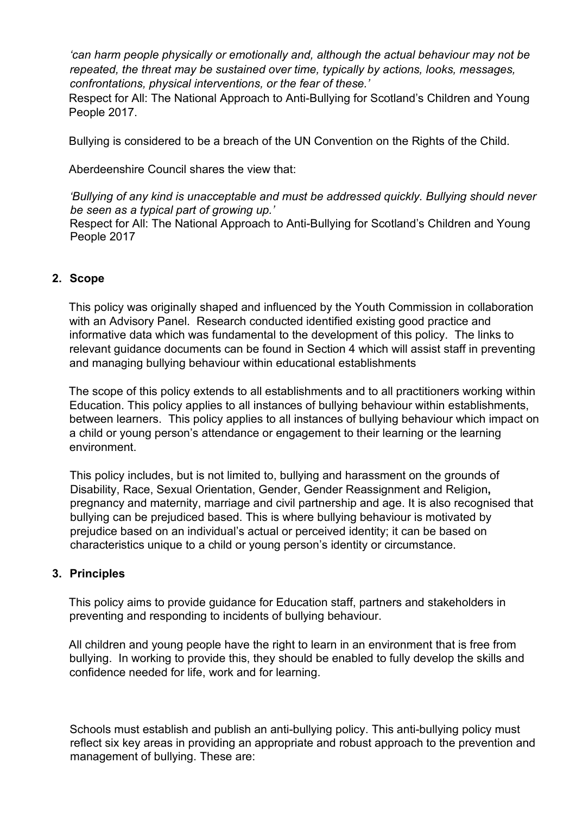*'can harm people physically or emotionally and, although the actual behaviour may not be repeated, the threat may be sustained over time, typically by actions, looks, messages, confrontations, physical interventions, or the fear of these.'*

Respect for All: The National Approach to Anti-Bullying for Scotland's Children and Young People 2017.

Bullying is considered to be a breach of the UN Convention on the Rights of the Child.

Aberdeenshire Council shares the view that:

*'Bullying of any kind is unacceptable and must be addressed quickly. Bullying should never be seen as a typical part of growing up.'*

Respect for All: The National Approach to Anti-Bullying for Scotland's Children and Young People 2017

## **2. Scope**

This policy was originally shaped and influenced by the Youth Commission in collaboration with an Advisory Panel. Research conducted identified existing good practice and informative data which was fundamental to the development of this policy. The links to relevant guidance documents can be found in Section 4 which will assist staff in preventing and managing bullying behaviour within educational establishments

The scope of this policy extends to all establishments and to all practitioners working within Education. This policy applies to all instances of bullying behaviour within establishments, between learners. This policy applies to all instances of bullying behaviour which impact on a child or young person's attendance or engagement to their learning or the learning environment.

This policy includes, but is not limited to, bullying and harassment on the grounds of Disability, Race, Sexual Orientation, Gender, Gender Reassignment and Religion**,**  pregnancy and maternity, marriage and civil partnership and age. It is also recognised that bullying can be prejudiced based. This is where bullying behaviour is motivated by prejudice based on an individual's actual or perceived identity; it can be based on characteristics unique to a child or young person's identity or circumstance.

#### **3. Principles**

This policy aims to provide guidance for Education staff, partners and stakeholders in preventing and responding to incidents of bullying behaviour.

All children and young people have the right to learn in an environment that is free from bullying. In working to provide this, they should be enabled to fully develop the skills and confidence needed for life, work and for learning.

Schools must establish and publish an anti-bullying policy. This anti-bullying policy must reflect six key areas in providing an appropriate and robust approach to the prevention and management of bullying. These are: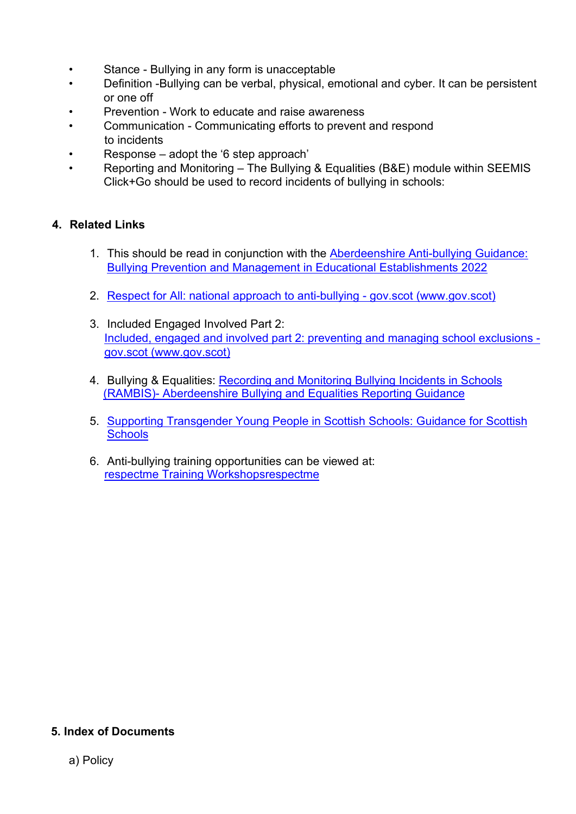- Stance Bullying in any form is unacceptable
- Definition -Bullying can be verbal, physical, emotional and cyber. It can be persistent or one off
- Prevention Work to educate and raise awareness
- Communication Communicating efforts to prevent and respond to incidents
- Response adopt the '6 step approach'
- Reporting and Monitoring The Bullying & Equalities (B&E) module within SEEMIS Click+Go should be used to record incidents of bullying in schools:

# **4. Related Links**

- 1. This should be read in conjunction with the [Aberdeenshire Anti-bullying Guidance:](https://asn-aberdeenshire.org/wp-content/uploads/2022/06/Aberdeenshire-Anti-Bullying-Guidance-Bullying-Prevention-and-Management-for-Educational-Establishments-March-2022.pdf)  [Bullying Prevention and Management in](https://asn-aberdeenshire.org/wp-content/uploads/2022/06/Aberdeenshire-Anti-Bullying-Guidance-Bullying-Prevention-and-Management-for-Educational-Establishments-March-2022.pdf) Educational Establishments 2022
- 2. [Respect for All: national approach to anti-bullying -](https://www.gov.scot/publications/respect-national-approach-anti-bullying-scotlands-children-young-people/) gov.scot (www.gov.scot)
- 3. Included Engaged Involved Part 2: [Included, engaged and involved part 2: preventing and managing school exclusions](https://www.gov.scot/publications/included-engaged-involved-part-2-positive-approach-preventing-managing-school/)  [gov.scot \(www.gov.scot\)](https://www.gov.scot/publications/included-engaged-involved-part-2-positive-approach-preventing-managing-school/)
- 4. Bullying & Equalities: [Recording and Monitoring Bullying Incidents in Schools](https://aberdeenshire.sharepoint.com/:w:/r/sites/Arcadia/services/_layouts/15/Doc.aspx?sourcedoc=%7BF97A237B-0A6E-491E-BE49-C7E43E8EDF25%7D&file=Bullying%20%26%20Equalities%20Recording%20Guidance_v1.1.docx&action=default&mobileredirect=true&DefaultItemOpen=1) (RAMBIS)- [Aberdeenshire Bullying and Equalities Reporting Guidance](https://aberdeenshire.sharepoint.com/:w:/r/sites/Arcadia/services/_layouts/15/Doc.aspx?sourcedoc=%7BF97A237B-0A6E-491E-BE49-C7E43E8EDF25%7D&file=Bullying%20%26%20Equalities%20Recording%20Guidance_v1.1.docx&action=default&mobileredirect=true&DefaultItemOpen=1)
- 5. [Supporting Transgender Young People in Scottish Schools: Guidance for Scottish](https://www.gov.scot/publications/supporting-transgender-young-people-schools-guidance-scottish-schools/)  **[Schools](https://www.gov.scot/publications/supporting-transgender-young-people-schools-guidance-scottish-schools/)**
- 6. Anti-bullying training opportunities can be viewed at: [respectme Training Workshopsrespectme](https://respectme.org.uk/training/training-workshops/)

## **5. Index of Documents**